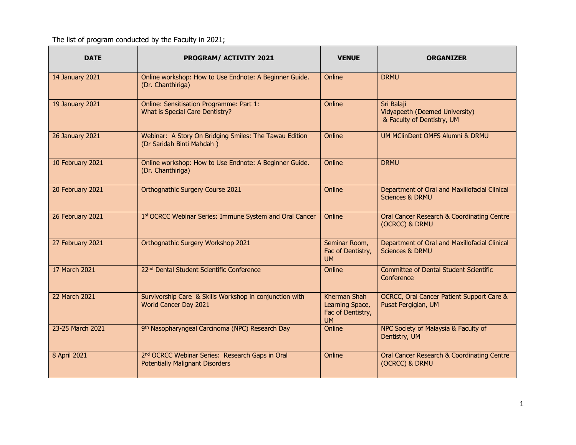The list of program conducted by the Faculty in 2021;

| <b>DATE</b>            | <b>PROGRAM/ ACTIVITY 2021</b>                                                                         | <b>VENUE</b>                                                             | <b>ORGANIZER</b>                                                            |
|------------------------|-------------------------------------------------------------------------------------------------------|--------------------------------------------------------------------------|-----------------------------------------------------------------------------|
| 14 January 2021        | Online workshop: How to Use Endnote: A Beginner Guide.<br>(Dr. Chanthiriga)                           | Online                                                                   | <b>DRMU</b>                                                                 |
| 19 January 2021        | Online: Sensitisation Programme: Part 1:<br>What is Special Care Dentistry?                           | Online                                                                   | Sri Balaji<br>Vidyapeeth (Deemed University)<br>& Faculty of Dentistry, UM  |
| <b>26 January 2021</b> | Webinar: A Story On Bridging Smiles: The Tawau Edition<br>(Dr Saridah Binti Mahdah)                   | Online                                                                   | UM MClinDent OMFS Alumni & DRMU                                             |
| 10 February 2021       | Online workshop: How to Use Endnote: A Beginner Guide.<br>(Dr. Chanthiriga)                           | Online                                                                   | <b>DRMU</b>                                                                 |
| 20 February 2021       | Orthognathic Surgery Course 2021                                                                      | Online                                                                   | Department of Oral and Maxillofacial Clinical<br><b>Sciences &amp; DRMU</b> |
| 26 February 2021       | 1st OCRCC Webinar Series: Immune System and Oral Cancer                                               | Online                                                                   | Oral Cancer Research & Coordinating Centre<br>(OCRCC) & DRMU                |
| 27 February 2021       | Orthognathic Surgery Workshop 2021                                                                    | Seminar Room,<br>Fac of Dentistry,<br><b>UM</b>                          | Department of Oral and Maxillofacial Clinical<br><b>Sciences &amp; DRMU</b> |
| 17 March 2021          | 22 <sup>nd</sup> Dental Student Scientific Conference                                                 | Online                                                                   | <b>Committee of Dental Student Scientific</b><br>Conference                 |
| 22 March 2021          | Survivorship Care & Skills Workshop in conjunction with<br>World Cancer Day 2021                      | <b>Kherman Shah</b><br>Learning Space,<br>Fac of Dentistry,<br><b>UM</b> | OCRCC, Oral Cancer Patient Support Care &<br>Pusat Pergigian, UM            |
| 23-25 March 2021       | 9 <sup>th</sup> Nasopharyngeal Carcinoma (NPC) Research Day                                           | Online                                                                   | NPC Society of Malaysia & Faculty of<br>Dentistry, UM                       |
| 8 April 2021           | 2 <sup>nd</sup> OCRCC Webinar Series: Research Gaps in Oral<br><b>Potentially Malignant Disorders</b> | Online                                                                   | Oral Cancer Research & Coordinating Centre<br>(OCRCC) & DRMU                |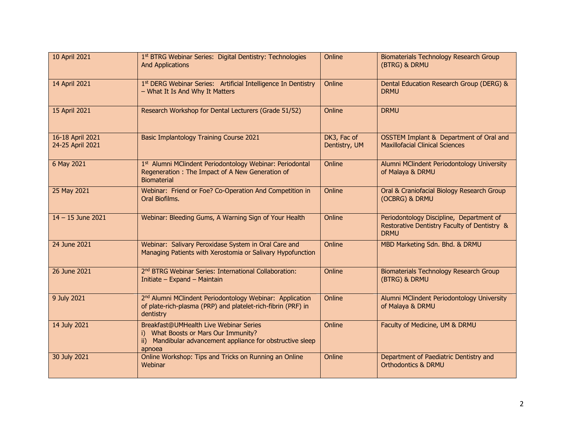| 10 April 2021                        | 1st BTRG Webinar Series: Digital Dentistry: Technologies<br><b>And Applications</b>                                                                    | Online                       | Biomaterials Technology Research Group<br>(BTRG) & DRMU                                                 |
|--------------------------------------|--------------------------------------------------------------------------------------------------------------------------------------------------------|------------------------------|---------------------------------------------------------------------------------------------------------|
| 14 April 2021                        | 1st DERG Webinar Series: Artificial Intelligence In Dentistry<br>- What It Is And Why It Matters                                                       | Online                       | Dental Education Research Group (DERG) &<br><b>DRMU</b>                                                 |
| 15 April 2021                        | Research Workshop for Dental Lecturers (Grade 51/52)                                                                                                   | Online                       | <b>DRMU</b>                                                                                             |
| 16-18 April 2021<br>24-25 April 2021 | <b>Basic Implantology Training Course 2021</b>                                                                                                         | DK3, Fac of<br>Dentistry, UM | OSSTEM Implant & Department of Oral and<br><b>Maxillofacial Clinical Sciences</b>                       |
| 6 May 2021                           | 1st Alumni MClindent Periodontology Webinar: Periodontal<br>Regeneration: The Impact of A New Generation of<br><b>Biomaterial</b>                      | Online                       | Alumni MClindent Periodontology University<br>of Malaya & DRMU                                          |
| 25 May 2021                          | Webinar: Friend or Foe? Co-Operation And Competition in<br>Oral Biofilms.                                                                              | Online                       | Oral & Craniofacial Biology Research Group<br>(OCBRG) & DRMU                                            |
| $14 - 15$ June 2021                  | Webinar: Bleeding Gums, A Warning Sign of Your Health                                                                                                  | Online                       | Periodontology Discipline, Department of<br>Restorative Dentistry Faculty of Dentistry &<br><b>DRMU</b> |
| 24 June 2021                         | Webinar: Salivary Peroxidase System in Oral Care and<br>Managing Patients with Xerostomia or Salivary Hypofunction                                     | Online                       | MBD Marketing Sdn. Bhd. & DRMU                                                                          |
| 26 June 2021                         | 2 <sup>nd</sup> BTRG Webinar Series: International Collaboration:<br>Initiate - Expand - Maintain                                                      | Online                       | Biomaterials Technology Research Group<br>(BTRG) & DRMU                                                 |
| 9 July 2021                          | 2 <sup>nd</sup> Alumni MClindent Periodontology Webinar: Application<br>of plate-rich-plasma (PRP) and platelet-rich-fibrin (PRF) in<br>dentistry      | Online                       | Alumni MClindent Periodontology University<br>of Malaya & DRMU                                          |
| 14 July 2021                         | Breakfast@UMHealth Live Webinar Series<br>i) What Boosts or Mars Our Immunity?<br>ii) Mandibular advancement appliance for obstructive sleep<br>apnoea | Online                       | Faculty of Medicine, UM & DRMU                                                                          |
| 30 July 2021                         | Online Workshop: Tips and Tricks on Running an Online<br>Webinar                                                                                       | Online                       | Department of Paediatric Dentistry and<br><b>Orthodontics &amp; DRMU</b>                                |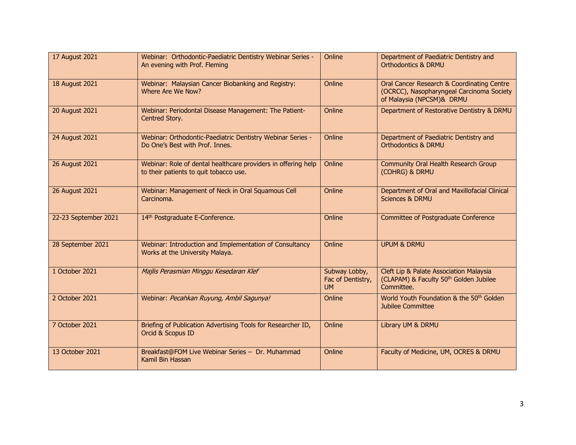| 17 August 2021        | Webinar: Orthodontic-Paediatric Dentistry Webinar Series -<br>An evening with Prof. Fleming             | Online                                          | Department of Paediatric Dentistry and<br><b>Orthodontics &amp; DRMU</b>                                             |
|-----------------------|---------------------------------------------------------------------------------------------------------|-------------------------------------------------|----------------------------------------------------------------------------------------------------------------------|
| 18 August 2021        | Webinar: Malaysian Cancer Biobanking and Registry:<br>Where Are We Now?                                 | Online                                          | Oral Cancer Research & Coordinating Centre<br>(OCRCC), Nasopharyngeal Carcinoma Society<br>of Malaysia (NPCSM)& DRMU |
| <b>20 August 2021</b> | Webinar: Periodontal Disease Management: The Patient-<br>Centred Story.                                 | Online                                          | Department of Restorative Dentistry & DRMU                                                                           |
| 24 August 2021        | Webinar: Orthodontic-Paediatric Dentistry Webinar Series -<br>Do One's Best with Prof. Innes.           | Online                                          | Department of Paediatric Dentistry and<br><b>Orthodontics &amp; DRMU</b>                                             |
| 26 August 2021        | Webinar: Role of dental healthcare providers in offering help<br>to their patients to quit tobacco use. | Online                                          | <b>Community Oral Health Research Group</b><br>(COHRG) & DRMU                                                        |
| 26 August 2021        | Webinar: Management of Neck in Oral Squamous Cell<br>Carcinoma.                                         | Online                                          | Department of Oral and Maxillofacial Clinical<br><b>Sciences &amp; DRMU</b>                                          |
| 22-23 September 2021  | 14th Postgraduate E-Conference.                                                                         | Online                                          | <b>Committee of Postgraduate Conference</b>                                                                          |
| 28 September 2021     | Webinar: Introduction and Implementation of Consultancy<br>Works at the University Malaya.              | Online                                          | <b>UPUM &amp; DRMU</b>                                                                                               |
| 1 October 2021        | Majlis Perasmian Minggu Kesedaran Klef                                                                  | Subway Lobby,<br>Fac of Dentistry,<br><b>UM</b> | Cleft Lip & Palate Association Malaysia<br>(CLAPAM) & Faculty 50 <sup>th</sup> Golden Jubilee<br>Committee.          |
| 2 October 2021        | Webinar: Pecahkan Ruyung, Ambil Sagunya!                                                                | Online                                          | World Youth Foundation & the 50 <sup>th</sup> Golden<br>Jubilee Committee                                            |
| 7 October 2021        | Briefing of Publication Advertising Tools for Researcher ID,<br>Orcid & Scopus ID                       | Online                                          | Library UM & DRMU                                                                                                    |
| 13 October 2021       | Breakfast@FOM Live Webinar Series - Dr. Muhammad<br>Kamil Bin Hassan                                    | Online                                          | Faculty of Medicine, UM, OCRES & DRMU                                                                                |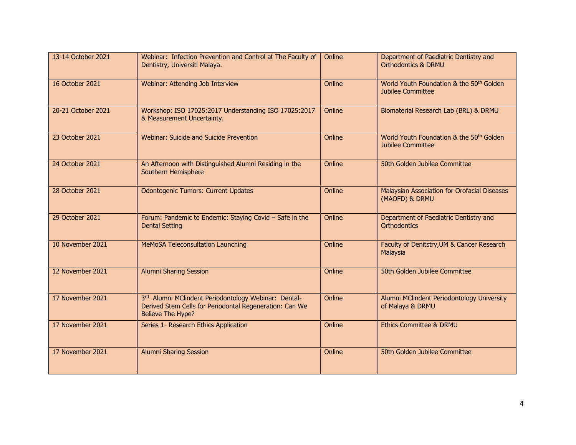| 13-14 October 2021 | Webinar: Infection Prevention and Control at The Faculty of<br>Dentistry, Universiti Malaya.                                         | Online | Department of Paediatric Dentistry and<br><b>Orthodontics &amp; DRMU</b>         |
|--------------------|--------------------------------------------------------------------------------------------------------------------------------------|--------|----------------------------------------------------------------------------------|
| 16 October 2021    | Webinar: Attending Job Interview                                                                                                     | Online | World Youth Foundation & the 50 <sup>th</sup> Golden<br><b>Jubilee Committee</b> |
| 20-21 October 2021 | Workshop: ISO 17025:2017 Understanding ISO 17025:2017<br>& Measurement Uncertainty.                                                  | Online | Biomaterial Research Lab (BRL) & DRMU                                            |
| 23 October 2021    | Webinar: Suicide and Suicide Prevention                                                                                              | Online | World Youth Foundation & the 50 <sup>th</sup> Golden<br><b>Jubilee Committee</b> |
| 24 October 2021    | An Afternoon with Distinguished Alumni Residing in the<br>Southern Hemisphere                                                        | Online | 50th Golden Jubilee Committee                                                    |
| 28 October 2021    | <b>Odontogenic Tumors: Current Updates</b>                                                                                           | Online | Malaysian Association for Orofacial Diseases<br>(MAOFD) & DRMU                   |
| 29 October 2021    | Forum: Pandemic to Endemic: Staying Covid - Safe in the<br><b>Dental Setting</b>                                                     | Online | Department of Paediatric Dentistry and<br>Orthodontics                           |
| 10 November 2021   | MeMoSA Teleconsultation Launching                                                                                                    | Online | Faculty of Denitstry, UM & Cancer Research<br>Malaysia                           |
| 12 November 2021   | <b>Alumni Sharing Session</b>                                                                                                        | Online | 50th Golden Jubilee Committee                                                    |
| 17 November 2021   | 3rd Alumni MClindent Periodontology Webinar: Dental-<br>Derived Stem Cells for Periodontal Regeneration: Can We<br>Believe The Hype? | Online | Alumni MClindent Periodontology University<br>of Malaya & DRMU                   |
| 17 November 2021   | Series 1- Research Ethics Application                                                                                                | Online | <b>Ethics Committee &amp; DRMU</b>                                               |
| 17 November 2021   | <b>Alumni Sharing Session</b>                                                                                                        | Online | 50th Golden Jubilee Committee                                                    |